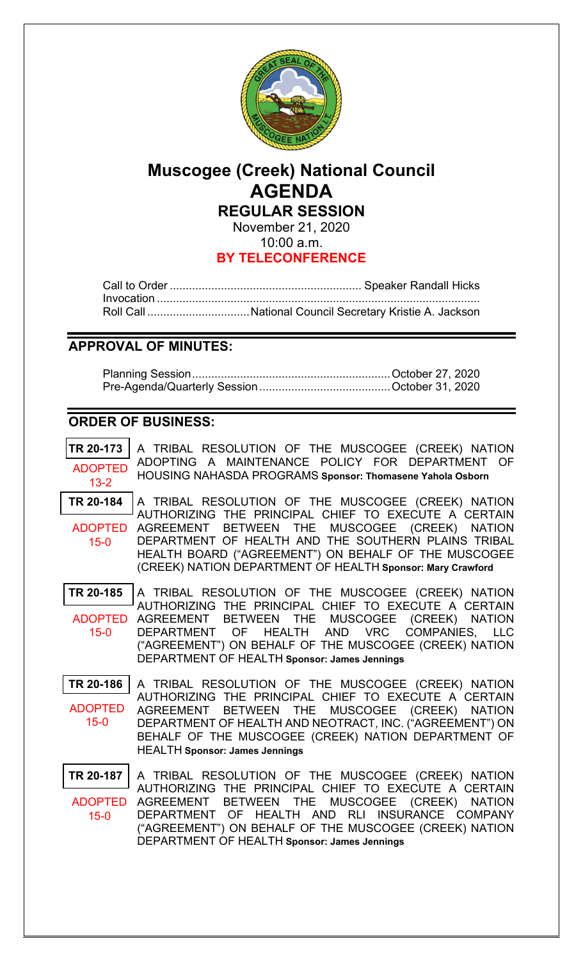

# **Muscogee (Creek) National Council AGENDA REGULAR SESSION**

November 21, 2020 10:00 a.m.

## **BY TELECONFERENCE**

Call to Order ............................................................ Speaker Randall Hicks Invocation ..................................................................................................... Roll Call ................................National Council Secretary Kristie A. Jackson

## **APPROVAL OF MINUTES:**

Planning Session.............................................................. October 27, 2020 Pre-Agenda/Quarterly Session.........................................October 31, 2020

## **ORDER OF BUSINESS:**

| TR 20-173<br><b>ADOPTED</b>             | A TRIBAL RESOLUTION OF THE MUSCOGEE (CREEK) NATION<br>ADOPTING A MAINTENANCE POLICY FOR DEPARTMENT OF                                                                                                                                                                                                                   |
|-----------------------------------------|-------------------------------------------------------------------------------------------------------------------------------------------------------------------------------------------------------------------------------------------------------------------------------------------------------------------------|
| $13 - 2$                                | HOUSING NAHASDA PROGRAMS Sponsor: Thomasene Yahola Osborn                                                                                                                                                                                                                                                               |
| TR 20-184<br><b>ADOPTED</b><br>$15 - 0$ | A TRIBAL RESOLUTION OF THE MUSCOGEE (CREEK) NATION<br>AUTHORIZING THE PRINCIPAL CHIEF TO EXECUTE A CERTAIN<br>AGREEMENT BETWEEN THE MUSCOGEE (CREEK) NATION<br>DEPARTMENT OF HEALTH AND THE SOUTHERN PLAINS TRIBAL<br>HEALTH BOARD ("AGREEMENT") ON BEHALF OF THE MUSCOGEE                                              |
|                                         | (CREEK) NATION DEPARTMENT OF HEALTH Sponsor: Mary Crawford                                                                                                                                                                                                                                                              |
| TR 20-185<br><b>ADOPTED</b><br>$15 - 0$ | A TRIBAL RESOLUTION OF THE MUSCOGEE (CREEK) NATION<br>AUTHORIZING THE PRINCIPAL CHIEF TO EXECUTE A CERTAIN<br>AGREEMENT BETWEEN THE MUSCOGEE (CREEK) NATION<br>DEPARTMENT OF HEALTH AND VRC COMPANIES, LLC<br>("AGREEMENT") ON BEHALF OF THE MUSCOGEE (CREEK) NATION<br>DEPARTMENT OF HEALTH Sponsor: James Jennings    |
| TR 20-186<br><b>ADOPTED</b><br>$15 - 0$ | A TRIBAL RESOLUTION OF THE MUSCOGEE (CREEK) NATION<br>AUTHORIZING THE PRINCIPAL CHIEF TO EXECUTE A CERTAIN<br>AGREEMENT BETWEEN THE MUSCOGEE (CREEK) NATION<br>DEPARTMENT OF HEALTH AND NEOTRACT, INC. ("AGREEMENT") ON<br>BEHALF OF THE MUSCOGEE (CREEK) NATION DEPARTMENT OF<br><b>HEALTH Sponsor: James Jennings</b> |
| TR 20-187                               | A TRIBAL RESOLUTION OF THE MUSCOGEE (CREEK) NATION<br>AUTHORIZING THE PRINCIPAL CHIEF TO EXECUTE A CERTAIN<br>ADOPTED AGREEMENT BETWEEN THE MUSCOGEE (CREEK) NATION                                                                                                                                                     |

DEPARTMENT OF HEALTH AND RLI INSURANCE COMPANY ("AGREEMENT") ON BEHALF OF THE MUSCOGEE (CREEK) NATION DEPARTMENT OF HEALTH **Sponsor: James Jennings** 15-0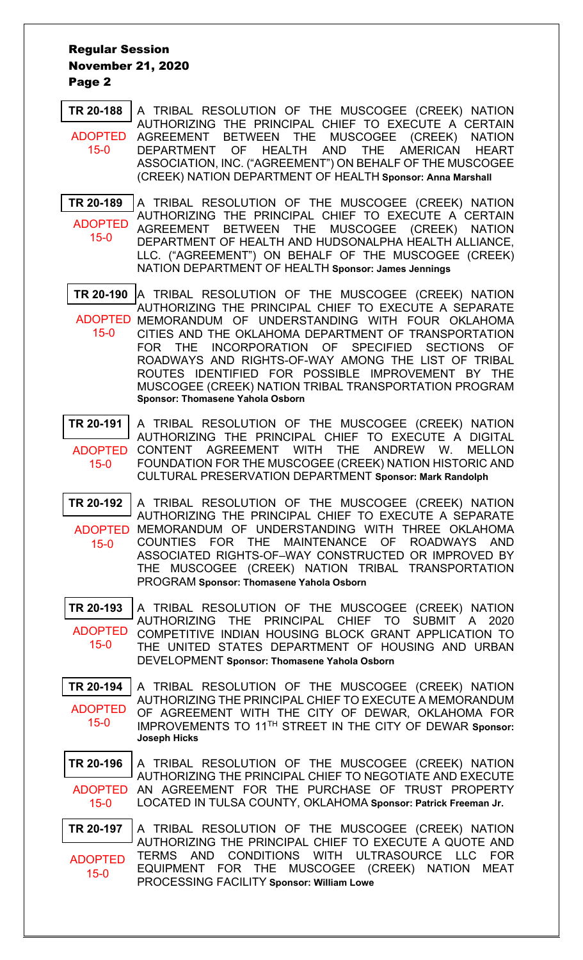#### Regular Session November 21, 2020 Page 2

**[TR 20-188](bills\20-188.pdf)** A TRIBAL RESOLUTION OF THE MUSCOGEE (CREEK) NATION AUTHORIZING THE PRINCIPAL CHIEF TO EXECUTE A CERTAIN AGREEMENT BETWEEN THE MUSCOGEE (CREEK) NATION<br>DEPARTMENT OF HEALTH AND THE AMERICAN HEART OF HEALTH AND THE AMERICAN HEART ASSOCIATION, INC. ("AGREEMENT") ON BEHALF OF THE MUSCOGEE (CREEK) NATION DEPARTMENT OF HEALTH **Sponsor: Anna Marshall** ADOPTED 15-0

**TR [20-189](bills\20-189.pdf)** A TRIBAL RESOLUTION OF THE MUSCOGEE (CREEK) NATION AUTHORIZING THE PRINCIPAL CHIEF TO EXECUTE A CERTAIN AGREEMENT BETWEEN THE MUSCOGEE (CREEK) NATION DEPARTMENT OF HEALTH AND HUDSONALPHA HEALTH ALLIANCE, LLC. ("AGREEMENT") ON BEHALF OF THE MUSCOGEE (CREEK) NATION DEPARTMENT OF HEALTH **Sponsor: James Jennings** ADOPTED 15-0

**[TR 20-190](bills\20-190.pdf)** A TRIBAL RESOLUTION OF THE MUSCOGEE (CREEK) NATION AUTHORIZING THE PRINCIPAL CHIEF TO EXECUTE A SEPARATE ADOPTED MEMORANDUM OF UNDERSTANDING WITH FOUR OKLAHOMA CITIES AND THE OKLAHOMA DEPARTMENT OF TRANSPORTATION 15-0

- FOR THE INCORPORATION OF SPECIFIED SECTIONS OF ROADWAYS AND RIGHTS-OF-WAY AMONG THE LIST OF TRIBAL ROUTES IDENTIFIED FOR POSSIBLE IMPROVEMENT BY THE MUSCOGEE (CREEK) NATION TRIBAL TRANSPORTATION PROGRAM **Sponsor: Thomasene Yahola Osborn**
- **[TR 20-191](bills\20-191.pdf)** A TRIBAL RESOLUTION OF THE MUSCOGEE (CREEK) NATION AUTHORIZING THE PRINCIPAL CHIEF TO EXECUTE A DIGITAL ADOPTED CONTENT AGREEMENT WITH THE ANDREW W. MELLON FOUNDATION FOR THE MUSCOGEE (CREEK) NATION HISTORIC AND CULTURAL PRESERVATION DEPARTMENT **Sponsor: Mark Randolph** 15-0
- **[TR 20-192](bills\20-192.pdf)** A TRIBAL RESOLUTION OF THE MUSCOGEE (CREEK) NATION AUTHORIZING THE PRINCIPAL CHIEF TO EXECUTE A SEPARATE ADOPTED MEMORANDUM OF UNDERSTANDING WITH THREE OKLAHOMA COUNTIES FOR THE MAINTENANCE OF ROADWAYS AND ASSOCIATED RIGHTS-OF–WAY CONSTRUCTED OR IMPROVED BY THE MUSCOGEE (CREEK) NATION TRIBAL TRANSPORTATION PROGRAM **Sponsor: Thomasene Yahola Osborn** 15-0

**[TR 20-193](bills\20-193.pdf)** A TRIBAL RESOLUTION OF THE MUSCOGEE (CREEK) NATION AUTHORIZING THE PRINCIPAL CHIEF TO SUBMIT A 2020 COMPETITIVE INDIAN HOUSING BLOCK GRANT APPLICATION TO THE UNITED STATES DEPARTMENT OF HOUSING AND URBAN DEVELOPMENT **Sponsor: Thomasene Yahola Osborn** ADOPTED 15-0

**[TR 20-194](bills\20-194.pdf)** A TRIBAL RESOLUTION OF THE MUSCOGEE (CREEK) NATION AUTHORIZING THE PRINCIPAL CHIEF TO EXECUTE A MEMORANDUM OF AGREEMENT WITH THE CITY OF DEWAR, OKLAHOMA FOR IMPROVEMENTS TO 11TH STREET IN THE CITY OF DEWAR **Sponsor: Joseph Hicks** ADOPTED 15-0

**[TR 20-196](bills\20-196.pdf)** A TRIBAL RESOLUTION OF THE MUSCOGEE (CREEK) NATION AUTHORIZING THE PRINCIPAL CHIEF TO NEGOTIATE AND EXECUTE ADOPTED AN AGREEMENT FOR THE PURCHASE OF TRUST PROPERTY LOCATED IN TULSA COUNTY, OKLAHOMA **Sponsor: Patrick Freeman Jr.** 15-0

**[TR 20-197](bills\20-197.pdf)** A TRIBAL RESOLUTION OF THE MUSCOGEE (CREEK) NATION AUTHORIZING THE PRINCIPAL CHIEF TO EXECUTE A QUOTE AND TERMS AND CONDITIONS WITH ULTRASOURCE LLC FOR EQUIPMENT FOR THE MUSCOGEE (CREEK) NATION MEAT PROCESSING FACILITY **Sponsor: William Lowe** ADOPTED 15-0